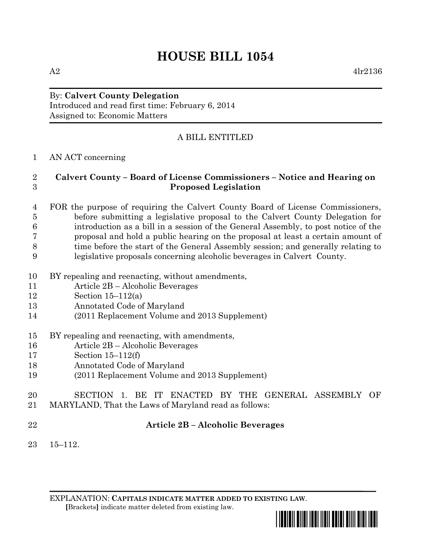# **HOUSE BILL 1054**

#### By: **Calvert County Delegation** Introduced and read first time: February 6, 2014 Assigned to: Economic Matters

## A BILL ENTITLED

#### AN ACT concerning

#### **Calvert County – Board of License Commissioners – Notice and Hearing on Proposed Legislation**

 FOR the purpose of requiring the Calvert County Board of License Commissioners, before submitting a legislative proposal to the Calvert County Delegation for introduction as a bill in a session of the General Assembly, to post notice of the proposal and hold a public hearing on the proposal at least a certain amount of time before the start of the General Assembly session; and generally relating to legislative proposals concerning alcoholic beverages in Calvert County.

- BY repealing and reenacting, without amendments,
- Article 2B Alcoholic Beverages
- Section 15–112(a)
- Annotated Code of Maryland
- (2011 Replacement Volume and 2013 Supplement)
- BY repealing and reenacting, with amendments,
- Article 2B Alcoholic Beverages
- Section 15–112(f)
- Annotated Code of Maryland
- (2011 Replacement Volume and 2013 Supplement)
- SECTION 1. BE IT ENACTED BY THE GENERAL ASSEMBLY OF MARYLAND, That the Laws of Maryland read as follows:
- 

### **Article 2B – Alcoholic Beverages**

15–112.